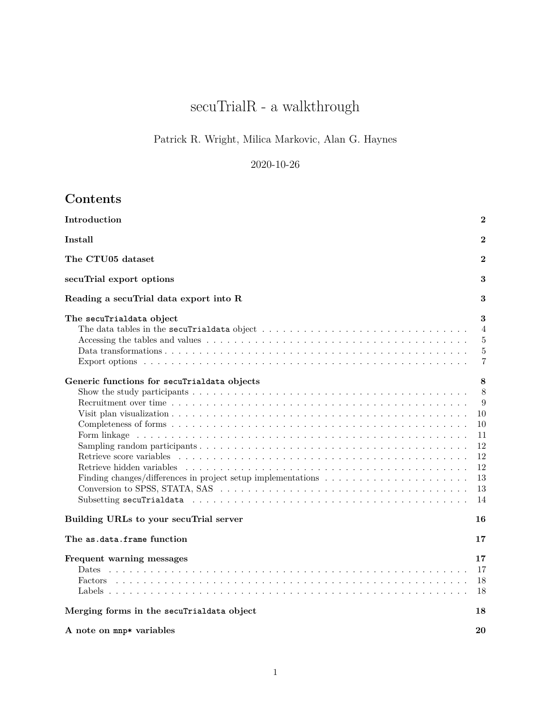# $\rm{sec}uTrialR$  - a walkthrough

# Patrick R. Wright, Milica Markovic, Alan G. Haynes

# 2020-10-26

# **Contents**

| Introduction                                                                                      | $\bf{2}$                                                          |
|---------------------------------------------------------------------------------------------------|-------------------------------------------------------------------|
| Install                                                                                           | $\bf{2}$                                                          |
| The CTU05 dataset                                                                                 | $\overline{2}$                                                    |
| secuTrial export options                                                                          | 3                                                                 |
| Reading a secuTrial data export into R                                                            | 3                                                                 |
| The secuTrialdata object                                                                          | 3<br>$\overline{4}$<br>5<br>$\overline{5}$<br>7                   |
| Generic functions for secuTrialdata objects<br>Retrieve score variables                           | 8<br>8<br>9<br>10<br>10<br>11<br>12<br>12<br>12<br>13<br>13<br>14 |
| Building URLs to your secuTrial server                                                            | 16                                                                |
| The as.data.frame function                                                                        | 17                                                                |
| Frequent warning messages<br>Dates<br><b>Factors</b><br>Merging forms in the secuTrialdata object | 17<br>17<br>18<br>18<br>18                                        |
| A note on mnp* variables                                                                          | 20                                                                |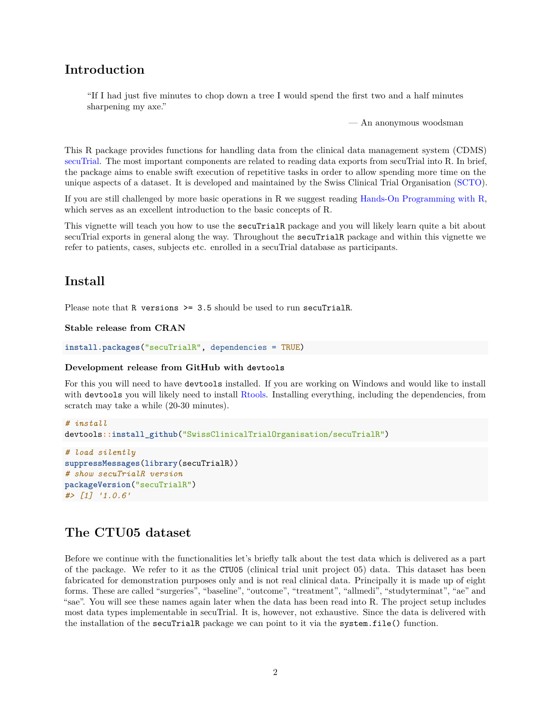# <span id="page-1-0"></span>**Introduction**

"If I had just five minutes to chop down a tree I would spend the first two and a half minutes sharpening my axe."

— An anonymous woodsman

This R package provides functions for handling data from the clinical data management system (CDMS) [secuTrial.](https://www.secutrial.com/en/) The most important components are related to reading data exports from secuTrial into R. In brief, the package aims to enable swift execution of repetitive tasks in order to allow spending more time on the unique aspects of a dataset. It is developed and maintained by the Swiss Clinical Trial Organisation [\(SCTO\)](https://www.scto.ch/en/news.html).

If you are still challenged by more basic operations in R we suggest reading [Hands-On Programming with R,](https://rstudio-education.github.io/hopr/) which serves as an excellent introduction to the basic concepts of R.

This vignette will teach you how to use the secuTrialR package and you will likely learn quite a bit about secuTrial exports in general along the way. Throughout the secuTrialR package and within this vignette we refer to patients, cases, subjects etc. enrolled in a secuTrial database as participants.

# <span id="page-1-1"></span>**Install**

Please note that R versions >= 3.5 should be used to run secuTrialR.

#### **Stable release from CRAN**

```
install.packages("secuTrialR", dependencies = TRUE)
```
#### **Development release from GitHub with devtools**

For this you will need to have devtools installed. If you are working on Windows and would like to install with devtools you will likely need to install [Rtools.](https://cran.r-project.org/bin/windows/Rtools/) Installing everything, including the dependencies, from scratch may take a while (20-30 minutes).

```
# install
devtools::install_github("SwissClinicalTrialOrganisation/secuTrialR")
```

```
# load silently
suppressMessages(library(secuTrialR))
# show secuTrialR version
packageVersion("secuTrialR")
#> [1] '1.0.6'
```
# <span id="page-1-2"></span>**The CTU05 dataset**

Before we continue with the functionalities let's briefly talk about the test data which is delivered as a part of the package. We refer to it as the CTU05 (clinical trial unit project 05) data. This dataset has been fabricated for demonstration purposes only and is not real clinical data. Principally it is made up of eight forms. These are called "surgeries", "baseline", "outcome", "treatment", "allmedi", "studyterminat", "ae" and "sae". You will see these names again later when the data has been read into R. The project setup includes most data types implementable in secuTrial. It is, however, not exhaustive. Since the data is delivered with the installation of the secuTrialR package we can point to it via the system.file() function.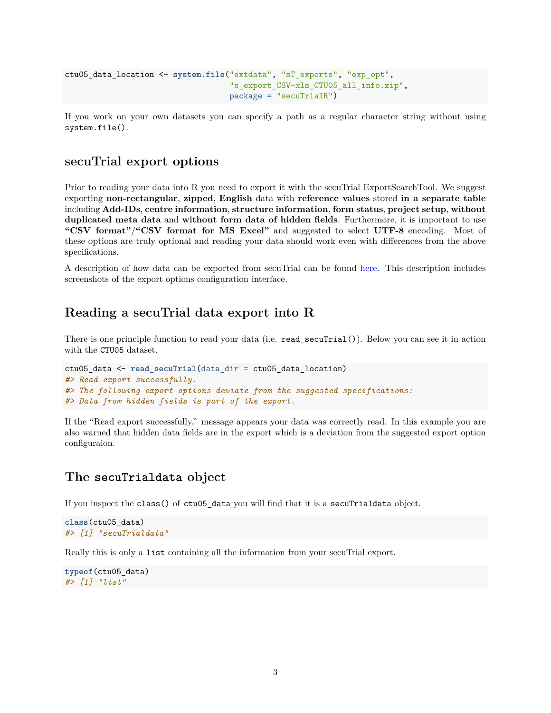```
ctu05_data_location <- system.file("extdata", "sT_exports", "exp_opt",
                                    "s_export_CSV-xls_CTU05_all_info.zip",
                                   package = "secuTrialR")
```
If you work on your own datasets you can specify a path as a regular character string without using system.file().

### <span id="page-2-0"></span>**secuTrial export options**

Prior to reading your data into R you need to export it with the secuTrial ExportSearchTool. We suggest exporting **non-rectangular**, **zipped**, **English** data with **reference values** stored **in a separate table** including **Add-IDs**, **centre information**, **structure information**, **form status**, **project setup**, **without duplicated meta data** and **without form data of hidden fields**. Furthermore, it is important to use **"CSV format"**/**"CSV format for MS Excel"** and suggested to select **UTF-8** encoding. Most of these options are truly optional and reading your data should work even with differences from the above specifications.

A description of how data can be exported from secuTrial can be found [here.](https://swissclinicaltrialorganisation.github.io/secuTrial_recipes/export_data/) This description includes screenshots of the export options configuration interface.

# <span id="page-2-1"></span>**Reading a secuTrial data export into R**

There is one principle function to read your data (i.e. read\_secuTrial()). Below you can see it in action with the CTU05 dataset.

```
ctu05_data <- read_secuTrial(data_dir = ctu05_data_location)
#> Read export successfully.
#> The following export options deviate from the suggested specifications:
#> Data from hidden fields is part of the export.
```
If the "Read export successfully." message appears your data was correctly read. In this example you are also warned that hidden data fields are in the export which is a deviation from the suggested export option configuraion.

#### <span id="page-2-2"></span>**The secuTrialdata object**

If you inspect the class() of ctu05\_data you will find that it is a secuTrialdata object.

```
class(ctu05_data)
#> [1] "secuTrialdata"
```
Really this is only a list containing all the information from your secuTrial export.

```
typeof(ctu05_data)
#> [1] "list"
```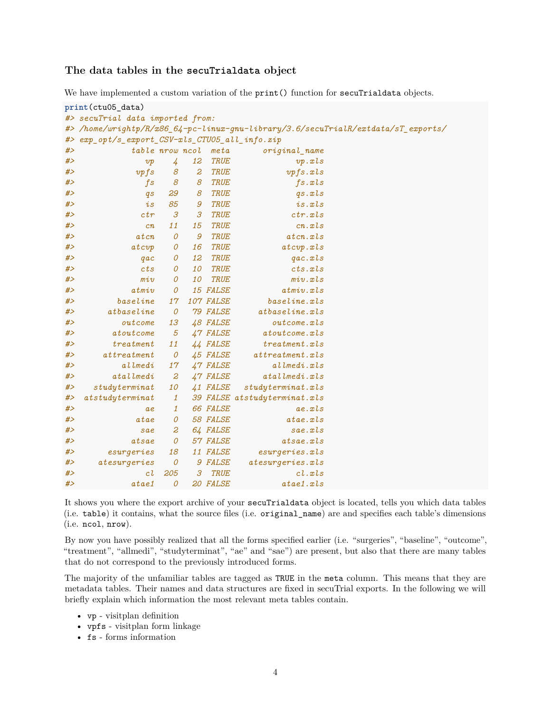#### <span id="page-3-0"></span>**The data tables in the secuTrialdata object**

We have implemented a custom variation of the print() function for secuTrialdata objects.

```
print(ctu05_data)
#> secuTrial data imported from:
#> /home/wrightp/R/x86_64-pc-linux-gnu-library/3.6/secuTrialR/extdata/sT_exports/
#> exp_opt/s_export_CSV-xls_CTU05_all_info.zip
#> table nrow ncol meta original_name
#> vp 4 12 TRUE vp.xls
#> vpfs 8 2 TRUE vpfs.xls
#> fs 8 8 TRUE fs.xls
#> qs 29 8 TRUE qs.xls
#> is 85 9 TRUE is.xls
#> ctr 3 3 TRUE ctr.xls
#> cn 11 15 TRUE cn.xls
#> atcn 0 9 TRUE atcn.xls
#> atcvp 0 16 TRUE atcvp.xls
#> qac 0 12 TRUE qac.xls
#> cts 0 10 TRUE cts.xls
#> miv 0 10 TRUE miv.xls
#> atmiv 0 15 FALSE atmiv.xls
#> baseline 17 107 FALSE baseline.xls
#> atbaseline 0 79 FALSE atbaseline.xls
#> outcome 13 48 FALSE outcome.xls
#> atoutcome 5 47 FALSE atoutcome.xls
#> treatment 11 44 FALSE treatment.xls
#> attreatment 0 45 FALSE attreatment.xls
#> allmedi 17 47 FALSE allmedi.xls
#> atallmedi 2 47 FALSE atallmedi.xls
#> studyterminat 10 41 FALSE studyterminat.xls
#> atstudyterminat 1 39 FALSE atstudyterminat.xls
#> ae 1 66 FALSE ae.xls
#> atae 0 58 FALSE atae.xls
#> sae 2 64 FALSE sae.xls
#> atsae 0 57 FALSE atsae.xls
#> esurgeries 18 11 FALSE esurgeries.xls
#> atesurgeries 0 9 FALSE atesurgeries.xls
#> cl 205 3 TRUE cl.xls
#> atae1 0 20 FALSE atae1.xls
```
It shows you where the export archive of your secuTrialdata object is located, tells you which data tables (i.e. table) it contains, what the source files (i.e. original\_name) are and specifies each table's dimensions (i.e. ncol, nrow).

By now you have possibly realized that all the forms specified earlier (i.e. "surgeries", "baseline", "outcome", "treatment", "allmedi", "studyterminat", "ae" and "sae") are present, but also that there are many tables that do not correspond to the previously introduced forms.

The majority of the unfamiliar tables are tagged as TRUE in the meta column. This means that they are metadata tables. Their names and data structures are fixed in secuTrial exports. In the following we will briefly explain which information the most relevant meta tables contain.

- vp visitplan definition
- vpfs visitplan form linkage
- fs forms information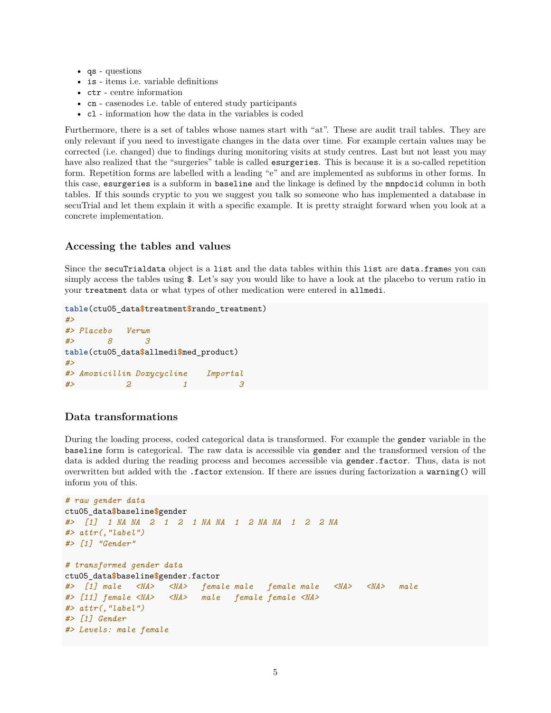- qs questions
- is items i.e. variable definitions
- ctr centre information
- cn casenodes i.e. table of entered study participants
- cl information how the data in the variables is coded

Furthermore, there is a set of tables whose names start with "at". These are audit trail tables. They are only relevant if you need to investigate changes in the data over time. For example certain values may be corrected (i.e. changed) due to findings during monitoring visits at study centres. Last but not least you may have also realized that the "surgeries" table is called esurgeries. This is because it is a so-called repetition form. Repetition forms are labelled with a leading "e" and are implemented as subforms in other forms. In this case, esurgeries is a subform in baseline and the linkage is defined by the mnpdocid column in both tables. If this sounds cryptic to you we suggest you talk so someone who has implemented a database in secuTrial and let them explain it with a specific example. It is pretty straight forward when you look at a concrete implementation.

#### <span id="page-4-0"></span>**Accessing the tables and values**

Since the secuTrialdata object is a list and the data tables within this list are data.frames you can simply access the tables using  $\$ . Let's say you would like to have a look at the placebo to verum ratio in your treatment data or what types of other medication were entered in allmedi.

```
table(ctu05_data$treatment$rando_treatment)
#>
#> Placebo Verum
#> 8 3
table(ctu05_data$allmedi$med_product)
#>
#> Amoxicillin Doxycycline Importal
#> 2 1 3
```
#### <span id="page-4-1"></span>**Data transformations**

During the loading process, coded categorical data is transformed. For example the gender variable in the baseline form is categorical. The raw data is accessible via gender and the transformed version of the data is added during the reading process and becomes accessible via gender.factor. Thus, data is not overwritten but added with the .factor extension. If there are issues during factorization a warning() will inform you of this.

```
# raw gender data
ctu05_data$baseline$gender
#> [1] 1 NA NA 2 1 2 1 NA NA 1 2 NA NA 1 2 2 NA
#> attr(,"label")
#> [1] "Gender"
# transformed gender data
ctu05_data$baseline$gender.factor
#> [1] male <NA> <NA> female male female male <NA> <NA> male
#> [11] female <NA> <NA> male female female <NA>
#> attr(,"label")
#> [1] Gender
#> Levels: male female
```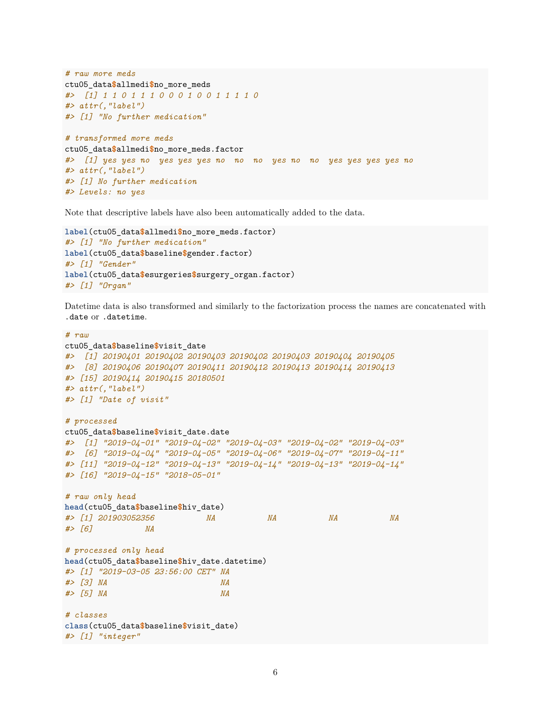```
# raw more meds
ctu05_data$allmedi$no_more_meds
#> [1] 1 1 0 1 1 1 0 0 0 1 0 0 1 1 1 1 0
#> attr(,"label")
#> [1] "No further medication"
# transformed more meds
ctu05_data$allmedi$no_more_meds.factor
#> [1] yes yes no yes yes yes no no no yes no no yes yes yes yes no
#> attr(,"label")
#> [1] No further medication
#> Levels: no yes
```
Note that descriptive labels have also been automatically added to the data.

```
label(ctu05_data$allmedi$no_more_meds.factor)
#> [1] "No further medication"
label(ctu05_data$baseline$gender.factor)
#> [1] "Gender"
label(ctu05_data$esurgeries$surgery_organ.factor)
#> [1] "Organ"
```
Datetime data is also transformed and similarly to the factorization process the names are concatenated with .date or .datetime.

```
# raw
ctu05_data$baseline$visit_date
#> [1] 20190401 20190402 20190403 20190402 20190403 20190404 20190405
#> [8] 20190406 20190407 20190411 20190412 20190413 20190414 20190413
#> [15] 20190414 20190415 20180501
#> attr(,"label")
#> [1] "Date of visit"
# processed
ctu05_data$baseline$visit_date.date
#> [1] "2019-04-01" "2019-04-02" "2019-04-03" "2019-04-02" "2019-04-03"
#> [6] "2019-04-04" "2019-04-05" "2019-04-06" "2019-04-07" "2019-04-11"
#> [11] "2019-04-12" "2019-04-13" "2019-04-14" "2019-04-13" "2019-04-14"
#> [16] "2019-04-15" "2018-05-01"
# raw only head
head(ctu05_data$baseline$hiv_date)
#> [1] 201903052356 NA NA NA NA
#> [6] NA
# processed only head
head(ctu05_data$baseline$hiv_date.datetime)
#> [1] "2019-03-05 23:56:00 CET" NA
#> [3] NA NA
#> [5] NA NA
# classes
class(ctu05_data$baseline$visit_date)
#> [1] "integer"
```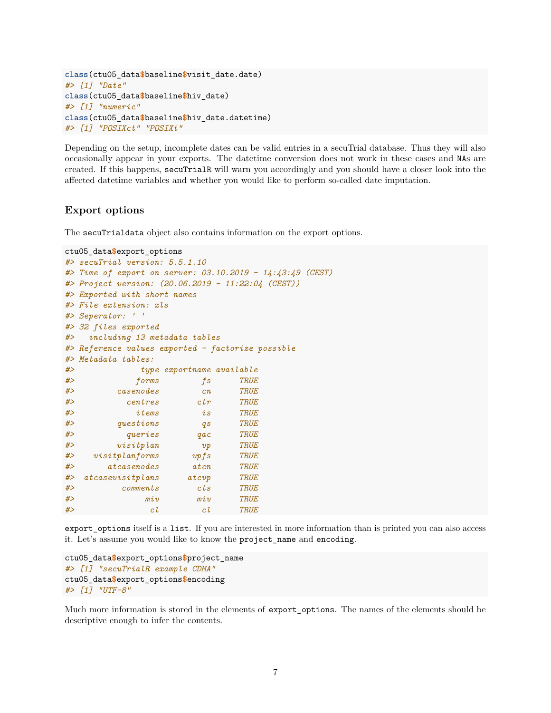```
class(ctu05_data$baseline$visit_date.date)
#> [1] "Date"
class(ctu05_data$baseline$hiv_date)
#> [1] "numeric"
class(ctu05_data$baseline$hiv_date.datetime)
#> [1] "POSIXct" "POSIXt"
```
Depending on the setup, incomplete dates can be valid entries in a secuTrial database. Thus they will also occasionally appear in your exports. The datetime conversion does not work in these cases and NAs are created. If this happens, secuTrialR will warn you accordingly and you should have a closer look into the affected datetime variables and whether you would like to perform so-called date imputation.

#### <span id="page-6-0"></span>**Export options**

The secuTrialdata object also contains information on the export options.

```
ctu05_data$export_options
#> secuTrial version: 5.5.1.10
#> Time of export on server: 03.10.2019 - 14:43:49 (CEST)
#> Project version: (20.06.2019 - 11:22:04 (CEST))
#> Exported with short names
#> File extension: xls
#> Seperator: ' '
#> 32 files exported
#> including 13 metadata tables
#> Reference values exported - factorize possible
#> Metadata tables:
#> type exportname available
#> forms fs TRUE
#> casenodes cn TRUE
#> centres ctr TRUE
#> items is TRUE
#> questions qs TRUE
#> queries qac TRUE
#> visitplan vp TRUE
#> visitplanforms vpfs TRUE
#> atcasenodes atcn TRUE
#> atcasevisitplans atcvp TRUE
#> comments cts TRUE
#> miv miv TRUE
#> cl cl TRUE
```
export\_options itself is a list. If you are interested in more information than is printed you can also access it. Let's assume you would like to know the project\_name and encoding.

```
ctu05_data$export_options$project_name
#> [1] "secuTrialR example CDMA"
ctu05_data$export_options$encoding
#> [1] "UTF-8"
```
Much more information is stored in the elements of export\_options. The names of the elements should be descriptive enough to infer the contents.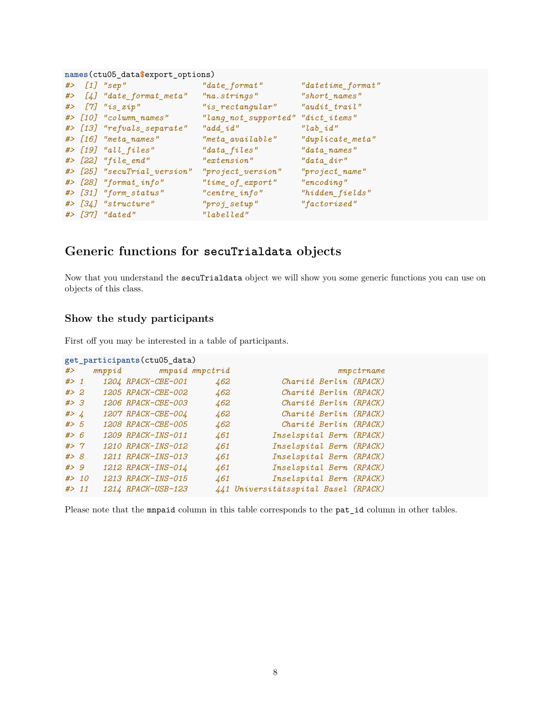| names(ctu05_data\$export_options) |  |                             |                                   |                     |  |  |
|-----------------------------------|--|-----------------------------|-----------------------------------|---------------------|--|--|
|                                   |  | $#$ [1] "sep"               | "date_format"                     | "datetime_format"   |  |  |
|                                   |  | #> [4] "date_format_meta"   | "na.strings"                      | "short_names"       |  |  |
|                                   |  | $#$ [7] "is_zip"            | $"is\_rectangular"$               | $"audit\_trail"$    |  |  |
|                                   |  | #> [10] "column_names"      | "lang_not_supported" "dict_items" |                     |  |  |
|                                   |  | #> [13] "refvals_separate"  | "add id"                          | "lab id"            |  |  |
|                                   |  | #> [16] "meta_names"        | "meta available"                  | $"duplicate\_meta"$ |  |  |
|                                   |  | $\#$ > [19] "all_files"     | $"data_files"$                    | "data names"        |  |  |
|                                   |  | $#$ [22] "file_end"         | "extension"                       | "data dir"          |  |  |
|                                   |  | #> [25] "secuTrial_version" | "project version"                 | $"project_name"$    |  |  |
|                                   |  | #> [28] "format_info"       | $"time_of_error$                  | "encoding"          |  |  |
|                                   |  | #> [31] "form_status"       | $"centre\_info"$                  | $"hidden\_fields"$  |  |  |
|                                   |  | #> [34] "structure"         | $"proj\_setup"$                   | "factorized"        |  |  |
|                                   |  | #> [37] "dated"             | "labelled"                        |                     |  |  |

# <span id="page-7-0"></span>**Generic functions for secuTrialdata objects**

Now that you understand the secuTrialdata object we will show you some generic functions you can use on objects of this class.

### <span id="page-7-1"></span>**Show the study participants**

First off you may be interested in a table of participants.

```
get_participants(ctu05_data)
#> mnppid mnpaid mnpctrid mnpctrname
#> 1 1204 RPACK-CBE-001 462 Charité Berlin (RPACK)
#> 2 1205 RPACK-CBE-002 462 Charité Berlin (RPACK)
#> 3 1206 RPACK-CBE-003 462 Charité Berlin (RPACK)
#> 4 1207 RPACK-CBE-004 462 Charité Berlin (RPACK)
#> 5 1208 RPACK-CBE-005 462 Charité Berlin (RPACK)
#> 6 1209 RPACK-INS-011 461 Inselspital Bern (RPACK)
#> 7 1210 RPACK-INS-012 461 Inselspital Bern (RPACK)
#> 8 1211 RPACK-INS-013 461 Inselspital Bern (RPACK)
#> 9 1212 RPACK-INS-014 461 Inselspital Bern (RPACK)
#> 10 1213 RPACK-INS-015 461 Inselspital Bern (RPACK)
#> 11 1214 RPACK-USB-123 441 Universitätsspital Basel (RPACK)
```
Please note that the mnpaid column in this table corresponds to the pat\_id column in other tables.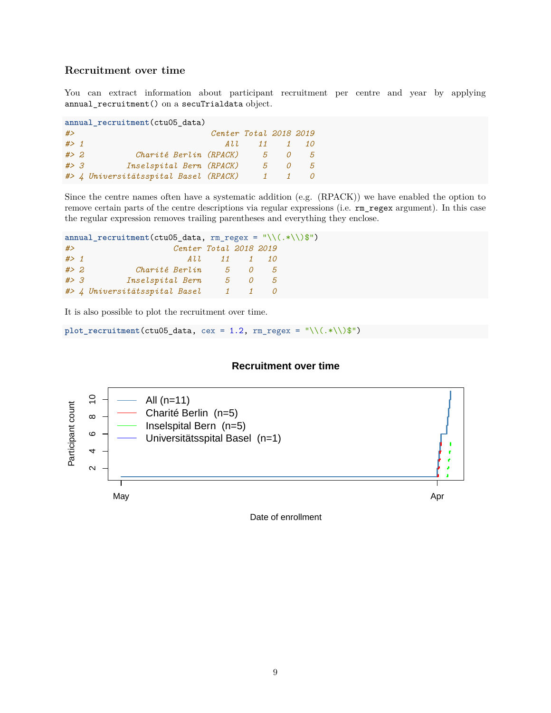## <span id="page-8-0"></span>**Recruitment over time**

You can extract information about participant recruitment per centre and year by applying annual\_recruitment() on a secuTrialdata object.

| annual recruitment (ctu05 data) |  |                                       |                        |               |          |                     |
|---------------------------------|--|---------------------------------------|------------------------|---------------|----------|---------------------|
| #                               |  |                                       | Center Total 2018 2019 |               |          |                     |
| $#$ > 1                         |  |                                       |                        | A 1. 1. 11    |          | $\mathcal{I}$<br>10 |
| #2                              |  | Charité Berlin (RPACK)                |                        | $\mathcal{P}$ | $\Omega$ | .5                  |
| #>3                             |  | Inselspital Bern (RPACK)              |                        | $5 -$         | 0        | 5                   |
|                                 |  | #> 4 Universitätsspital Basel (RPACK) |                        |               |          |                     |

Since the centre names often have a systematic addition (e.g. (RPACK)) we have enabled the option to remove certain parts of the centre descriptions via regular expressions (i.e. rm\_regex argument). In this case the regular expression removes trailing parentheses and everything they enclose.

```
annual_recruitment(ctu05_data, rm_regex = "\\(.*\\)$")
#> Center Total 2018 2019
#> 1 All 11 1 10
#> 2 Charité Berlin 5 0 5
#> 3 Inselspital Bern 5 0 5
#> 4 Universitätsspital Basel 1 1 0
```
It is also possible to plot the recruitment over time.

 $plot\_recruitment (ctu05\_data, cex = 1.2, rm\_regex = "\\((.*\)\$")$ 

#### **Recruitment over time**



Date of enrollment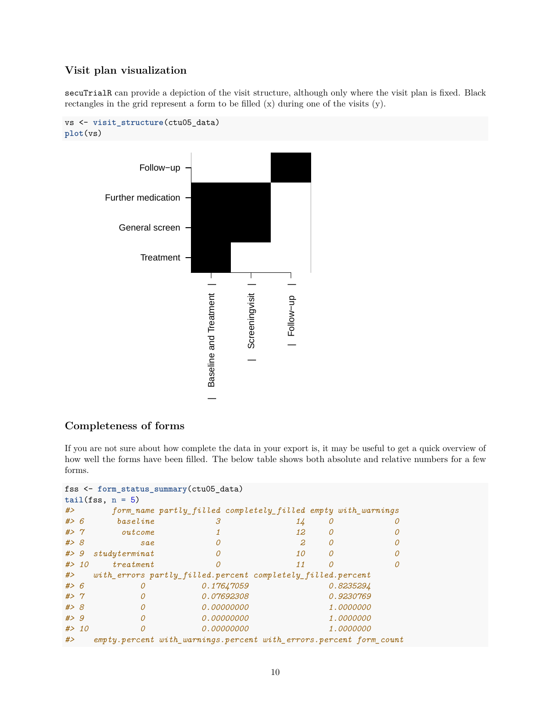# <span id="page-9-0"></span>**Visit plan visualization**

secuTrialR can provide a depiction of the visit structure, although only where the visit plan is fixed. Black rectangles in the grid represent a form to be filled (x) during one of the visits (y).

```
vs <- visit_structure(ctu05_data)
plot(vs)
```


# <span id="page-9-1"></span>**Completeness of forms**

If you are not sure about how complete the data in your export is, it may be useful to get a quick overview of how well the forms have been filled. The below table shows both absolute and relative numbers for a few forms.

```
fss <- form_status_summary(ctu05_data)
```

| $tail(fss, n = 5)$ |  |               |  |                                                                    |   |                  |
|--------------------|--|---------------|--|--------------------------------------------------------------------|---|------------------|
| #                  |  |               |  | form_name partly_filled completely_filled empty with_warnings      |   |                  |
| # > 6              |  | baseline      |  | 14                                                                 | O |                  |
| #> 7               |  | outcome       |  | 12                                                                 | 0 |                  |
| # > 8              |  | sae           |  | 2                                                                  |   |                  |
| # > 9              |  | studyterminat |  | 10                                                                 | Ω |                  |
| # > 10             |  | $t$ reatment  |  | 11                                                                 | Ω |                  |
| #                  |  |               |  | with_errors partly_filled.percent completely_filled.percent        |   |                  |
| # > 6              |  |               |  | 0.17647059                                                         |   | 0.8235294        |
| #> 7               |  | 0             |  | <i>0.07692308</i>                                                  |   | 0.9230769        |
| #> 8               |  | $\Omega$      |  | 0.00000000                                                         |   | <i>1.0000000</i> |
| # > 9              |  | 0             |  | 0.00000000                                                         |   | <i>1.0000000</i> |
| # > 10             |  | $\Omega$      |  | 0.00000000                                                         |   | 1.0000000        |
| #                  |  |               |  | empty.percent with warnings.percent with errors.percent form count |   |                  |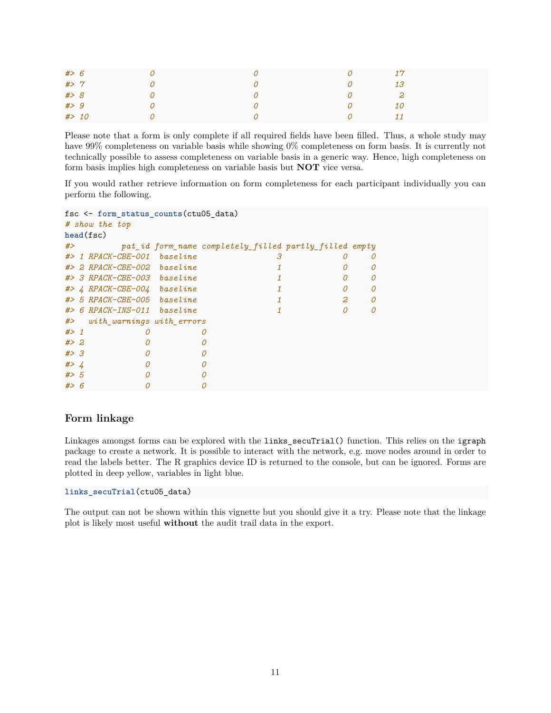| #> 6   |  | $\omega$ | 17           |
|--------|--|----------|--------------|
| # > 7  |  | $\Omega$ | 13           |
| #> 8   |  | 0        | $\mathbf{2}$ |
| # > 9  |  | $\Omega$ | <i>10</i>    |
| # > 10 |  | $\Omega$ | 11           |

Please note that a form is only complete if all required fields have been filled. Thus, a whole study may have 99% completeness on variable basis while showing 0% completeness on form basis. It is currently not technically possible to assess completeness on variable basis in a generic way. Hence, high completeness on form basis implies high completeness on variable basis but **NOT** vice versa.

If you would rather retrieve information on form completeness for each participant individually you can perform the following.

```
fsc <- form_status_counts(ctu05_data)
# show the top
head(fsc)
#> pat_id form_name completely_filled partly_filled empty
#> 1 RPACK-CBE-001 baseline 3 0 0
#> 2 RPACK-CBE-002 baseline 1 0 0
#> 3 RPACK-CBE-003 baseline 1 0 0
#> 4 RPACK-CBE-004 baseline 1 0 0
#> 5 RPACK-CBE-005 baseline 1 2 0
#> 6 RPACK-INS-011 baseline 1 0 0
#> with_warnings with_errors
#> 1 0 0
#> 2 0 0
#> 3 0 0
#> 4 0 0
#> 5 0 0
#> 6 0 0
```
#### <span id="page-10-0"></span>**Form linkage**

Linkages amongst forms can be explored with the links\_secuTrial() function. This relies on the igraph package to create a network. It is possible to interact with the network, e.g. move nodes around in order to read the labels better. The R graphics device ID is returned to the console, but can be ignored. Forms are plotted in deep yellow, variables in light blue.

**links\_secuTrial**(ctu05\_data)

The output can not be shown within this vignette but you should give it a try. Please note that the linkage plot is likely most useful **without** the audit trail data in the export.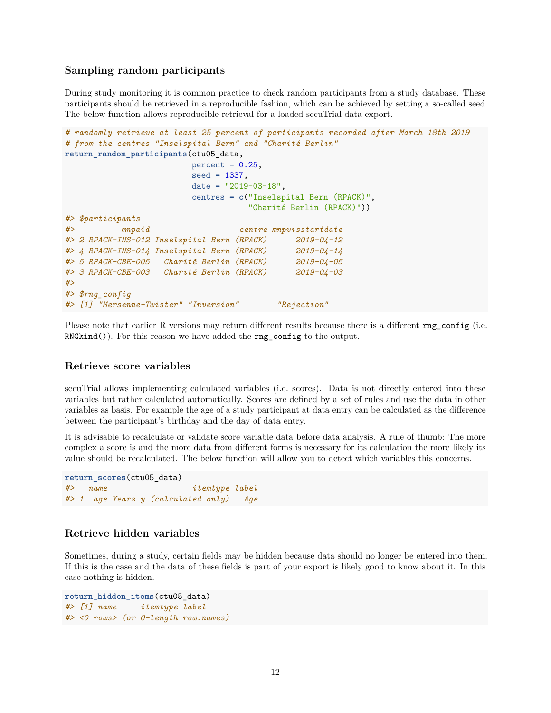#### <span id="page-11-0"></span>**Sampling random participants**

During study monitoring it is common practice to check random participants from a study database. These participants should be retrieved in a reproducible fashion, which can be achieved by setting a so-called seed. The below function allows reproducible retrieval for a loaded secuTrial data export.

```
# randomly retrieve at least 25 percent of participants recorded after March 18th 2019
# from the centres "Inselspital Bern" and "Charité Berlin"
return_random_participants(ctu05_data,
                         percent = 0.25,
                         seed = 1337,
                         date = "2019-03-18",
                         centres = c("Inselspital Bern (RPACK)",
                                    "Charité Berlin (RPACK)"))
#> $participants
#> mnpaid centre mnpvisstartdate
#> 2 RPACK-INS-012 Inselspital Bern (RPACK) 2019-04-12
#> 4 RPACK-INS-014 Inselspital Bern (RPACK) 2019-04-14
#> 5 RPACK-CBE-005 Charité Berlin (RPACK) 2019-04-05
#> 3 RPACK-CBE-003 Charité Berlin (RPACK) 2019-04-03
#>
#> $rng_config
#> [1] "Mersenne-Twister" "Inversion" "Rejection"
```
Please note that earlier R versions may return different results because there is a different rng config (i.e. RNGkind()). For this reason we have added the **rng\_config** to the output.

#### <span id="page-11-1"></span>**Retrieve score variables**

secuTrial allows implementing calculated variables (i.e. scores). Data is not directly entered into these variables but rather calculated automatically. Scores are defined by a set of rules and use the data in other variables as basis. For example the age of a study participant at data entry can be calculated as the difference between the participant's birthday and the day of data entry.

It is advisable to recalculate or validate score variable data before data analysis. A rule of thumb: The more complex a score is and the more data from different forms is necessary for its calculation the more likely its value should be recalculated. The below function will allow you to detect which variables this concerns.

```
return_scores(ctu05_data)
#> name itemtype label
#> 1 age Years y (calculated only) Age
```
#### <span id="page-11-2"></span>**Retrieve hidden variables**

Sometimes, during a study, certain fields may be hidden because data should no longer be entered into them. If this is the case and the data of these fields is part of your export is likely good to know about it. In this case nothing is hidden.

```
return_hidden_items(ctu05_data)
#> [1] name itemtype label
#> <0 rows> (or 0-length row.names)
```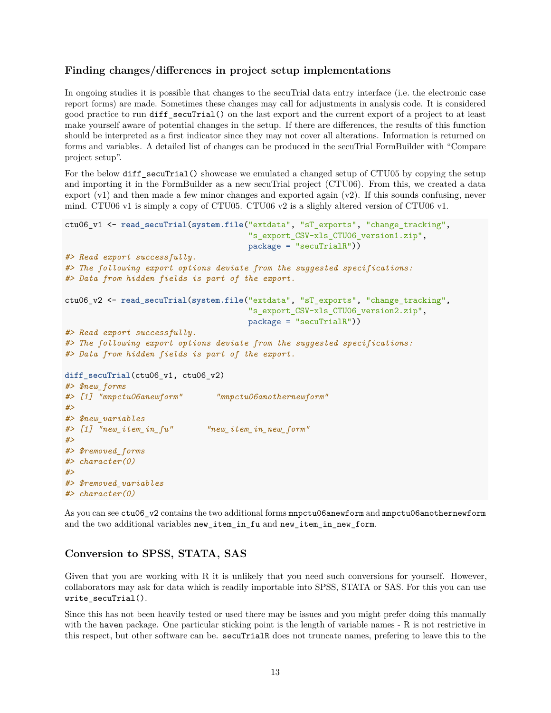#### <span id="page-12-0"></span>**Finding changes/differences in project setup implementations**

In ongoing studies it is possible that changes to the secuTrial data entry interface (i.e. the electronic case report forms) are made. Sometimes these changes may call for adjustments in analysis code. It is considered good practice to run diff\_secuTrial() on the last export and the current export of a project to at least make yourself aware of potential changes in the setup. If there are differences, the results of this function should be interpreted as a first indicator since they may not cover all alterations. Information is returned on forms and variables. A detailed list of changes can be produced in the secuTrial FormBuilder with "Compare project setup".

For the below diff\_secuTrial() showcase we emulated a changed setup of CTU05 by copying the setup and importing it in the FormBuilder as a new secuTrial project (CTU06). From this, we created a data export  $(v1)$  and then made a few minor changes and exported again  $(v2)$ . If this sounds confusing, never mind. CTU06 v1 is simply a copy of CTU05. CTU06 v2 is a slighly altered version of CTU06 v1.

```
ctu06_v1 <- read_secuTrial(system.file("extdata", "sT_exports", "change_tracking",
                                       "s_export_CSV-xls_CTU06_version1.zip",
                                       package = "secuTrialR"))
#> Read export successfully.
#> The following export options deviate from the suggested specifications:
#> Data from hidden fields is part of the export.
ctu06_v2 <- read_secuTrial(system.file("extdata", "sT_exports", "change_tracking",
                                       "s_export_CSV-xls_CTU06_version2.zip",
                                      package = "secuTrialR"))
#> Read export successfully.
#> The following export options deviate from the suggested specifications:
#> Data from hidden fields is part of the export.
diff_secuTrial(ctu06_v1, ctu06_v2)
#> $new_forms
#> [1] "mnpctu06anewform" "mnpctu06anothernewform"
#>
#> $new_variables
#> [1] "new_item_in_fu" "new_item_in_new_form"
#>
#> $removed_forms
#> character(0)
#>
#> $removed_variables
#> character(0)
```
As you can see ctu06\_v2 contains the two additional forms mnpctu06anewform and mnpctu06anothernewform and the two additional variables new\_item\_in\_fu and new\_item\_in\_new\_form.

### <span id="page-12-1"></span>**Conversion to SPSS, STATA, SAS**

Given that you are working with R it is unlikely that you need such conversions for yourself. However, collaborators may ask for data which is readily importable into SPSS, STATA or SAS. For this you can use write\_secuTrial().

Since this has not been heavily tested or used there may be issues and you might prefer doing this manually with the haven package. One particular sticking point is the length of variable names - R is not restrictive in this respect, but other software can be. secuTrialR does not truncate names, prefering to leave this to the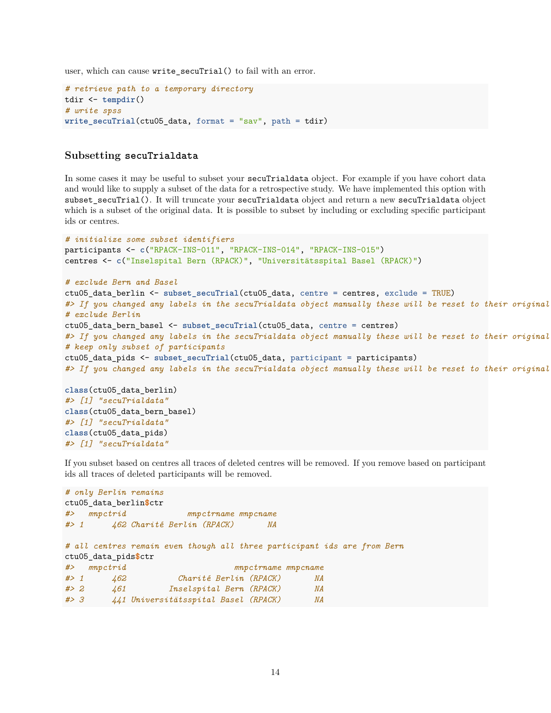user, which can cause write secuTrial() to fail with an error.

```
# retrieve path to a temporary directory
tdir <- tempdir()
# write spss
write_secuTrial(ctu05_data, format = "sav", path = tdir)
```
#### <span id="page-13-0"></span>**Subsetting secuTrialdata**

*#> [1] "secuTrialdata"*

In some cases it may be useful to subset your secuTrialdata object. For example if you have cohort data and would like to supply a subset of the data for a retrospective study. We have implemented this option with subset secuTrial(). It will truncate your secuTrialdata object and return a new secuTrialdata object which is a subset of the original data. It is possible to subset by including or excluding specific participant ids or centres.

```
# initialize some subset identifiers
participants <- c("RPACK-INS-011", "RPACK-INS-014", "RPACK-INS-015")
centres <- c("Inselspital Bern (RPACK)", "Universitätsspital Basel (RPACK)")
# exclude Bern and Basel
ctu05_data_berlin <- subset_secuTrial(ctu05_data, centre = centres, exclude = TRUE)
#> If you changed any labels in the secuTrialdata object manually these will be reset to their original state.
# exclude Berlin
ctu05_data_bern_basel <- subset_secuTrial(ctu05_data, centre = centres)
#> If you changed any labels in the secuTrialdata object manually these will be reset to their original
# keep only subset of participants
ctu05_data_pids <- subset_secuTrial(ctu05_data, participant = participants)
#> If you changed any labels in the secuTrialdata object manually these will be reset to their original
class(ctu05_data_berlin)
#> [1] "secuTrialdata"
class(ctu05_data_bern_basel)
#> [1] "secuTrialdata"
class(ctu05_data_pids)
```
If you subset based on centres all traces of deleted centres will be removed. If you remove based on participant ids all traces of deleted participants will be removed.

```
# only Berlin remains
ctu05_data_berlin$ctr
#> mnpctrid mnpctrname mnpcname
#> 1 462 Charité Berlin (RPACK) NA
# all centres remain even though all three participant ids are from Bern
ctu05_data_pids$ctr
#> mnpctrid mnpctrname mnpcname
#> 1 462 Charité Berlin (RPACK) NA
#> 2 461 Inselspital Bern (RPACK) NA
#> 3 441 Universitätsspital Basel (RPACK) NA
```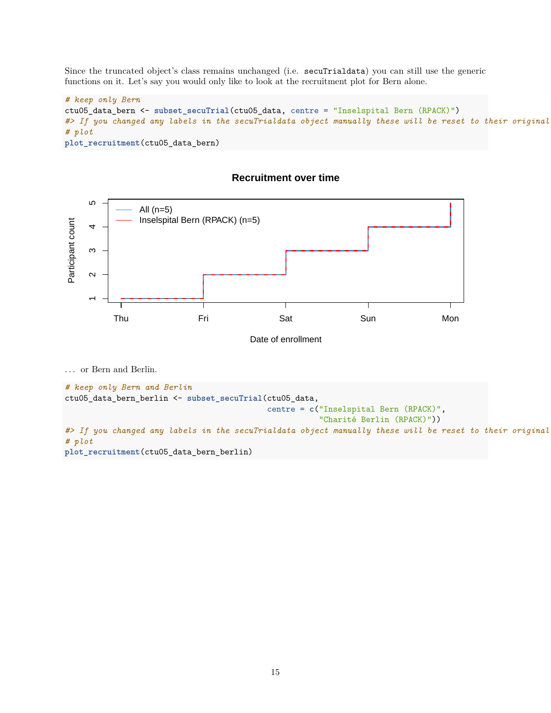Since the truncated object's class remains unchanged (i.e. secuTrialdata) you can still use the generic functions on it. Let's say you would only like to look at the recruitment plot for Bern alone.

```
# keep only Bern
ctu05_data_bern <- subset_secuTrial(ctu05_data, centre = "Inselspital Bern (RPACK)")
#> If you changed any labels in the secuTrialdata object manually these will be reset to their original state.
# plot
plot_recruitment(ctu05_data_bern)
```


### **Recruitment over time**

. . . or Bern and Berlin.

```
# keep only Bern and Berlin
ctu05_data_bern_berlin <- subset_secuTrial(ctu05_data,
                                           centre = c("Inselspital Bern (RPACK)",
                                                      "Charité Berlin (RPACK)"))
#> If you changed any labels in the secuTrialdata object manually these will be reset to their original
# plot
plot_recruitment(ctu05_data_bern_berlin)
```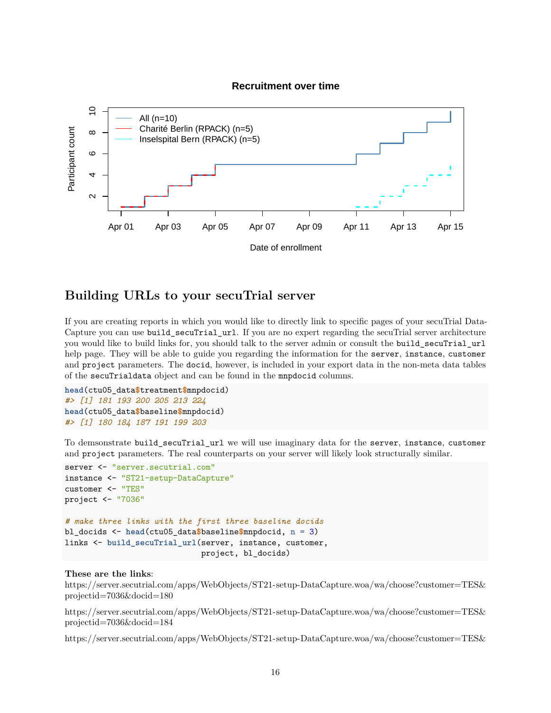#### **Recruitment over time**



# <span id="page-15-0"></span>**Building URLs to your secuTrial server**

If you are creating reports in which you would like to directly link to specific pages of your secuTrial Data-Capture you can use build\_secuTrial\_url. If you are no expert regarding the secuTrial server architecture you would like to build links for, you should talk to the server admin or consult the build\_secuTrial\_url help page. They will be able to guide you regarding the information for the server, instance, customer and project parameters. The docid, however, is included in your export data in the non-meta data tables of the secuTrialdata object and can be found in the mnpdocid columns.

```
head(ctu05_data$treatment$mnpdocid)
#> [1] 181 193 200 205 213 224
head(ctu05_data$baseline$mnpdocid)
#> [1] 180 184 187 191 199 203
```
To demsonstrate build\_secuTrial\_url we will use imaginary data for the server, instance, customer and project parameters. The real counterparts on your server will likely look structurally similar.

```
server <- "server.secutrial.com"
instance <- "ST21-setup-DataCapture"
customer <- "TES"
project <- "7036"
# make three links with the first three baseline docids
bl_docids <- head(ctu05_data$baseline$mnpdocid, n = 3)
links <- build_secuTrial_url(server, instance, customer,
                             project, bl_docids)
```
#### **These are the links**:

[https://server.secutrial.com/apps/WebObjects/ST21-setup-DataCapture.woa/wa/choose?customer=TES&](https://server.secutrial.com/apps/WebObjects/ST21-setup-DataCapture.woa/wa/choose?customer=TES&projectid=7036&docid=180) [projectid=7036&docid=180](https://server.secutrial.com/apps/WebObjects/ST21-setup-DataCapture.woa/wa/choose?customer=TES&projectid=7036&docid=180)

[https://server.secutrial.com/apps/WebObjects/ST21-setup-DataCapture.woa/wa/choose?customer=TES&](https://server.secutrial.com/apps/WebObjects/ST21-setup-DataCapture.woa/wa/choose?customer=TES&projectid=7036&docid=184) [projectid=7036&docid=184](https://server.secutrial.com/apps/WebObjects/ST21-setup-DataCapture.woa/wa/choose?customer=TES&projectid=7036&docid=184)

[https://server.secutrial.com/apps/WebObjects/ST21-setup-DataCapture.woa/wa/choose?customer=TES&](https://server.secutrial.com/apps/WebObjects/ST21-setup-DataCapture.woa/wa/choose?customer=TES&projectid=7036&docid=187)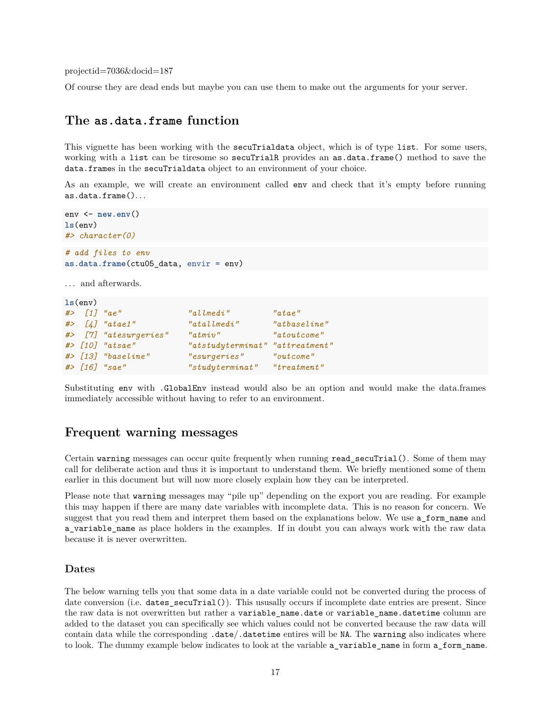[projectid=7036&docid=187](https://server.secutrial.com/apps/WebObjects/ST21-setup-DataCapture.woa/wa/choose?customer=TES&projectid=7036&docid=187)

Of course they are dead ends but maybe you can use them to make out the arguments for your server.

# <span id="page-16-0"></span>**The as.data.frame function**

This vignette has been working with the secuTrialdata object, which is of type list. For some users, working with a list can be tiresome so secuTrialR provides an as.data.frame() method to save the data.frames in the secuTrialdata object to an environment of your choice.

As an example, we will create an environment called env and check that it's empty before running as.data.frame(). . .

```
env <- new.env()
ls(env)
#> character(0)
# add files to env
as.data.frame(ctu05_data, envir = env)
```
... and afterwards.

```
ls(env)
#> [1] "ae" "allmedi" "atae"
#> [4] "atae1" "atallmedi" "atbaseline"
#> [7] "atesurgeries" "atmiv" "atoutcome"
#> [10] "atsae" "atstudyterminat" "attreatment"
#> [13] "baseline" "esurgeries" "outcome"
#> [16] "sae" "studyterminat" "treatment"
```
Substituting env with .GlobalEnv instead would also be an option and would make the data.frames immediately accessible without having to refer to an environment.

# <span id="page-16-1"></span>**Frequent warning messages**

Certain warning messages can occur quite frequently when running read secuTrial(). Some of them may call for deliberate action and thus it is important to understand them. We briefly mentioned some of them earlier in this document but will now more closely explain how they can be interpreted.

Please note that warning messages may "pile up" depending on the export you are reading. For example this may happen if there are many date variables with incomplete data. This is no reason for concern. We suggest that you read them and interpret them based on the explanations below. We use a form name and a\_variable\_name as place holders in the examples. If in doubt you can always work with the raw data because it is never overwritten.

#### <span id="page-16-2"></span>**Dates**

The below warning tells you that some data in a date variable could not be converted during the process of date conversion (i.e. dates\_secuTrial()). This ususally occurs if incomplete date entries are present. Since the raw data is not overwritten but rather a variable\_name.date or variable\_name.datetime column are added to the dataset you can specifically see which values could not be converted because the raw data will contain data while the corresponding .date/.datetime entires will be NA. The warning also indicates where to look. The dummy example below indicates to look at the variable a\_variable\_name in form a\_form\_name.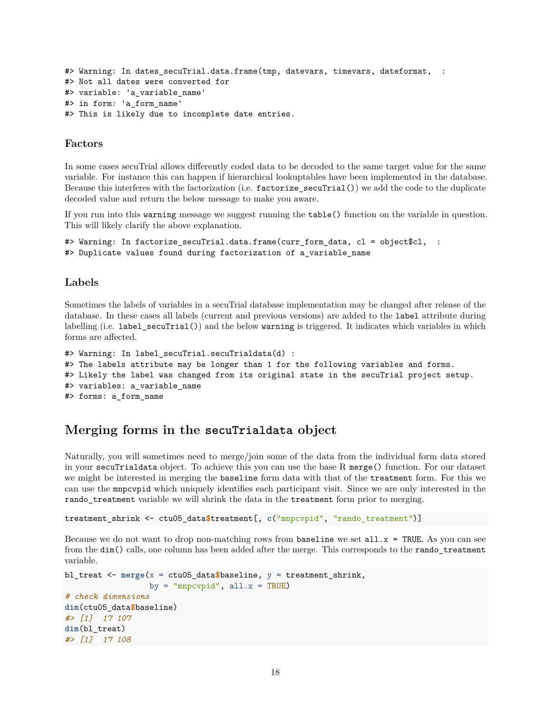```
#> Warning: In dates secuTrial.data.frame(tmp, datevars, timevars, dateformat, :
#> Not all dates were converted for
#> variable: 'a_variable_name'
#> in form: 'a_form_name'
#> This is likely due to incomplete date entries.
```
#### <span id="page-17-0"></span>**Factors**

In some cases secuTrial allows differently coded data to be decoded to the same target value for the same variable. For instance this can happen if hierarchical lookuptables have been implemented in the database. Because this interferes with the factorization (i.e. factorize\_secuTrial()) we add the code to the duplicate decoded value and return the below message to make you aware.

If you run into this warning message we suggest running the table() function on the variable in question. This will likely clarify the above explanation.

```
#> Warning: In factorize_secuTrial.data.frame(curr_form_data, cl = object$cl, :
#> Duplicate values found during factorization of a_variable_name
```
#### <span id="page-17-1"></span>**Labels**

Sometimes the labels of variables in a secuTrial database implementation may be changed after release of the database. In these cases all labels (current and previous versions) are added to the label attribute during labelling (i.e. label\_secuTrial()) and the below warning is triggered. It indicates which variables in which forms are affected.

```
#> Warning: In label_secuTrial.secuTrialdata(d) :
#> The labels attribute may be longer than 1 for the following variables and forms.
#> Likely the label was changed from its original state in the secuTrial project setup.
#> variables: a_variable_name
#> forms: a_form_name
```
# <span id="page-17-2"></span>**Merging forms in the secuTrialdata object**

Naturally, you will sometimes need to merge/join some of the data from the individual form data stored in your secuTrialdata object. To achieve this you can use the base R merge() function. For our dataset we might be interested in merging the baseline form data with that of the treatment form. For this we can use the mnpcvpid which uniquely identifies each participant visit. Since we are only interested in the rando\_treatment variable we will shrink the data in the treatment form prior to merging.

```
treatment_shrink <- ctu05_data$treatment[, c("mnpcvpid", "rando_treatment")]
```
Because we do not want to drop non-matching rows from baseline we set  $all.x = TRUE$ . As you can see from the dim() calls, one column has been added after the merge. This corresponds to the rando\_treatment variable.

```
bl_treat <- merge(x = ctu05_data$baseline, y = treatment_shrink,
                  by = "mnpcvpid", all.x = TRUE)
# check dimensions
dim(ctu05_data$baseline)
#> [1] 17 107
dim(bl_treat)
#> [1] 17 108
```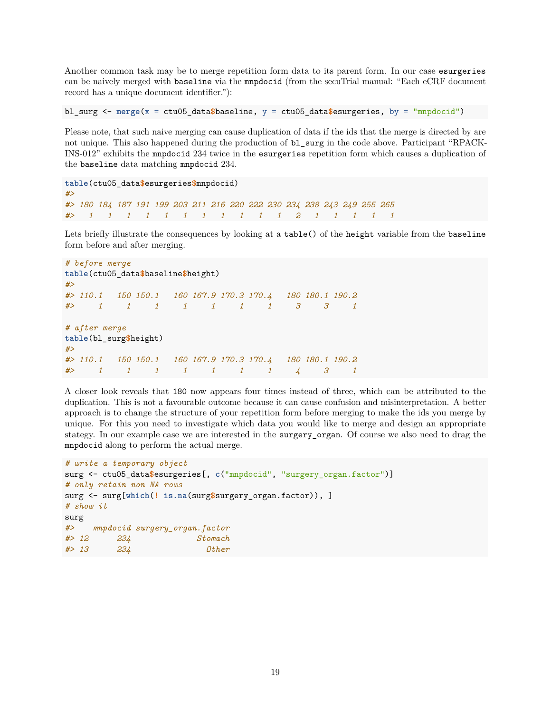Another common task may be to merge repetition form data to its parent form. In our case esurgeries can be naively merged with baseline via the mnpdocid (from the secuTrial manual: "Each eCRF document record has a unique document identifier."):

bl surg  $\leq$  merge(x = ctu05 data $\frac{6}{3}$ baseline, y = ctu05 data $\frac{6}{3}$ esurgeries, by = "mnpdocid")

Please note, that such naive merging can cause duplication of data if the ids that the merge is directed by are not unique. This also happened during the production of bl\_surg in the code above. Participant "RPACK-INS-012" exhibits the mnpdocid 234 twice in the esurgeries repetition form which causes a duplication of the baseline data matching mnpdocid 234.

```
table(ctu05_data$esurgeries$mnpdocid)
#>
#> 180 184 187 191 199 203 211 216 220 222 230 234 238 243 249 255 265
#> 1 1 1 1 1 1 1 1 1 1 1 2 1 1 1 1 1
```
Lets briefly illustrate the consequences by looking at a table() of the height variable from the baseline form before and after merging.

```
# before merge
table(ctu05_data$baseline$height)
#>
#> 110.1 150 150.1 160 167.9 170.3 170.4 180 180.1 190.2
#> 1 1 1 1 1 1 1 3 3 1
# after merge
table(bl_surg$height)
#>
#> 110.1 150 150.1 160 167.9 170.3 170.4 180 180.1 190.2
#> 1 1 1 1 1 1 1 4 3 1
```
A closer look reveals that 180 now appears four times instead of three, which can be attributed to the duplication. This is not a favourable outcome because it can cause confusion and misinterpretation. A better approach is to change the structure of your repetition form before merging to make the ids you merge by unique. For this you need to investigate which data you would like to merge and design an appropriate stategy. In our example case we are interested in the surgery\_organ. Of course we also need to drag the mnpdocid along to perform the actual merge.

```
# write a temporary object
surg <- ctu05_data$esurgeries[, c("mnpdocid", "surgery_organ.factor")]
# only retain non NA rows
surg <- surg[which(! is.na(surg$surgery_organ.factor)), ]
# show it
surg
#> mnpdocid surgery_organ.factor
#> 12 234 Stomach
#> 13 234 Other
```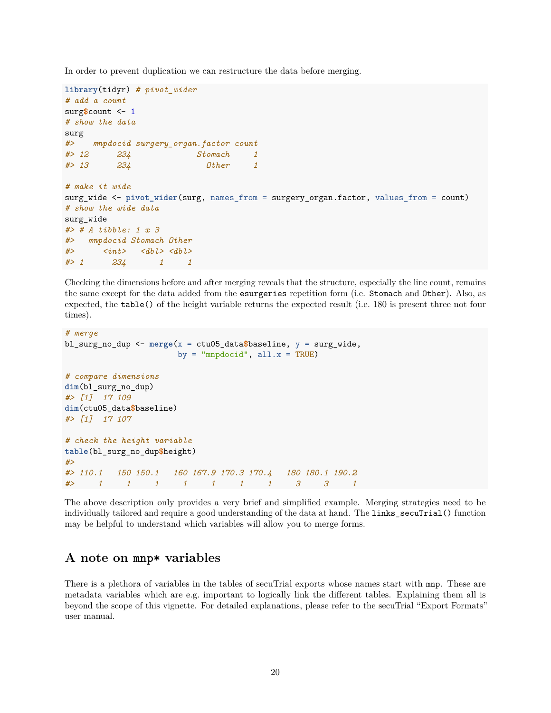In order to prevent duplication we can restructure the data before merging.

```
library(tidyr) # pivot_wider
# add a count
surg$count <- 1
# show the data
surg
#> mnpdocid surgery_organ.factor count
#> 12 234 Stomach 1
#> 13 234 Other 1
# make it wide
surg_wide <- pivot_wider(surg, names_from = surgery_organ.factor, values_from = count)
# show the wide data
surg_wide
#> # A tibble: 1 x 3
#> mnpdocid Stomach Other
#> <int> <dbl> <dbl>
#> 1 234 1 1
```
Checking the dimensions before and after merging reveals that the structure, especially the line count, remains the same except for the data added from the esurgeries repetition form (i.e. Stomach and Other). Also, as expected, the table() of the height variable returns the expected result (i.e. 180 is present three not four times).

```
# merge
bl_surg_no_dup <- merge(x = ctu05_data$baseline, y = surg_wide,
                     by = "mnpdocid", all.x = TRUE)
# compare dimensions
dim(bl_surg_no_dup)
#> [1] 17 109
dim(ctu05_data$baseline)
#> [1] 17 107
# check the height variable
table(bl_surg_no_dup$height)
#>
#> 110.1 150 150.1 160 167.9 170.3 170.4 180 180.1 190.2
#> 1 1 1 1 1 1 1 3 3 1
```
The above description only provides a very brief and simplified example. Merging strategies need to be individually tailored and require a good understanding of the data at hand. The **links** secuTrial() function may be helpful to understand which variables will allow you to merge forms.

# <span id="page-19-0"></span>**A note on mnp\* variables**

There is a plethora of variables in the tables of secuTrial exports whose names start with mnp. These are metadata variables which are e.g. important to logically link the different tables. Explaining them all is beyond the scope of this vignette. For detailed explanations, please refer to the secuTrial "Export Formats" user manual.